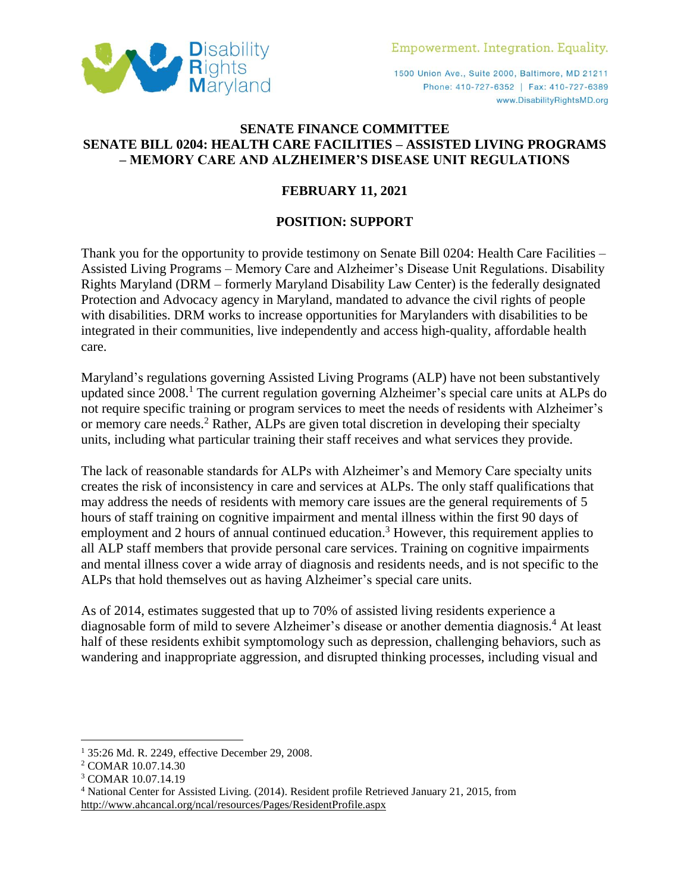

1500 Union Ave., Suite 2000, Baltimore, MD 21211 Phone: 410-727-6352 | Fax: 410-727-6389 www.DisabilityRightsMD.org

## **SENATE FINANCE COMMITTEE SENATE BILL 0204: HEALTH CARE FACILITIES – ASSISTED LIVING PROGRAMS – MEMORY CARE AND ALZHEIMER'S DISEASE UNIT REGULATIONS**

## **FEBRUARY 11, 2021**

## **POSITION: SUPPORT**

Thank you for the opportunity to provide testimony on Senate Bill 0204: Health Care Facilities – Assisted Living Programs – Memory Care and Alzheimer's Disease Unit Regulations. Disability Rights Maryland (DRM – formerly Maryland Disability Law Center) is the federally designated Protection and Advocacy agency in Maryland, mandated to advance the civil rights of people with disabilities. DRM works to increase opportunities for Marylanders with disabilities to be integrated in their communities, live independently and access high-quality, affordable health care.

Maryland's regulations governing Assisted Living Programs (ALP) have not been substantively updated since 2008. <sup>1</sup> The current regulation governing Alzheimer's special care units at ALPs do not require specific training or program services to meet the needs of residents with Alzheimer's or memory care needs.<sup>2</sup> Rather, ALPs are given total discretion in developing their specialty units, including what particular training their staff receives and what services they provide.

The lack of reasonable standards for ALPs with Alzheimer's and Memory Care specialty units creates the risk of inconsistency in care and services at ALPs. The only staff qualifications that may address the needs of residents with memory care issues are the general requirements of 5 hours of staff training on cognitive impairment and mental illness within the first 90 days of employment and 2 hours of annual continued education.<sup>3</sup> However, this requirement applies to all ALP staff members that provide personal care services. Training on cognitive impairments and mental illness cover a wide array of diagnosis and residents needs, and is not specific to the ALPs that hold themselves out as having Alzheimer's special care units.

As of 2014, estimates suggested that up to 70% of assisted living residents experience a diagnosable form of mild to severe Alzheimer's disease or another dementia diagnosis.<sup>4</sup> At least half of these residents exhibit symptomology such as depression, challenging behaviors, such as wandering and inappropriate aggression, and disrupted thinking processes, including visual and

 $\overline{a}$ 

<sup>1</sup> 35:26 Md. R. 2249, effective December 29, 2008.

<sup>2</sup> COMAR 10.07.14.30

<sup>3</sup> COMAR 10.07.14.19

<sup>4</sup> National Center for Assisted Living. (2014). Resident profile Retrieved January 21, 2015, from <http://www.ahcancal.org/ncal/resources/Pages/ResidentProfile.aspx>